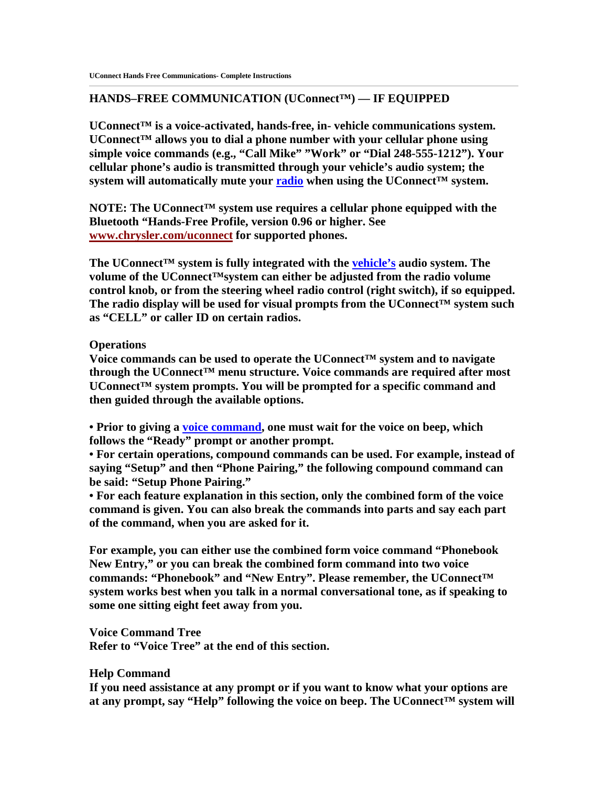# **HANDS–FREE COMMUNICATION (UConnect™) — IF EQUIPPED**

**UConnect™ is a voice-activated, hands-free, in- vehicle communications system. UConnect™ allows you to dial a phone number with your cellular phone using simple voice commands (e.g., "Call Mike" "Work" or "Dial 248-555-1212"). Your cellular phone's audio is transmitted through your vehicle's audio system; the**  system will automatically mute your radio when using the UConnect<sup>™</sup> system.

**NOTE: The UConnect™ system use requires a cellular phone equipped with the Bluetooth "Hands-Free Profile, version 0.96 or higher. See www.chrysler.com/uconnect for supported phones.** 

**The UConnect™ system is fully integrated with the vehicle's audio system. The volume of the UConnect™system can either be adjusted from the radio volume control knob, or from the steering wheel radio control (right switch), if so equipped. The radio display will be used for visual prompts from the UConnect™ system such as "CELL" or caller ID on certain radios.** 

### **Operations**

**Voice commands can be used to operate the UConnect™ system and to navigate through the UConnect™ menu structure. Voice commands are required after most UConnect™ system prompts. You will be prompted for a specific command and then guided through the available options.** 

**• Prior to giving a voice command, one must wait for the voice on beep, which follows the "Ready" prompt or another prompt.** 

**• For certain operations, compound commands can be used. For example, instead of saying "Setup" and then "Phone Pairing," the following compound command can be said: "Setup Phone Pairing."** 

**• For each feature explanation in this section, only the combined form of the voice command is given. You can also break the commands into parts and say each part of the command, when you are asked for it.** 

**For example, you can either use the combined form voice command "Phonebook New Entry," or you can break the combined form command into two voice commands: "Phonebook" and "New Entry". Please remember, the UConnect™ system works best when you talk in a normal conversational tone, as if speaking to some one sitting eight feet away from you.** 

**Voice Command Tree Refer to "Voice Tree" at the end of this section.** 

# **Help Command**

**If you need assistance at any prompt or if you want to know what your options are at any prompt, say "Help" following the voice on beep. The UConnect™ system will**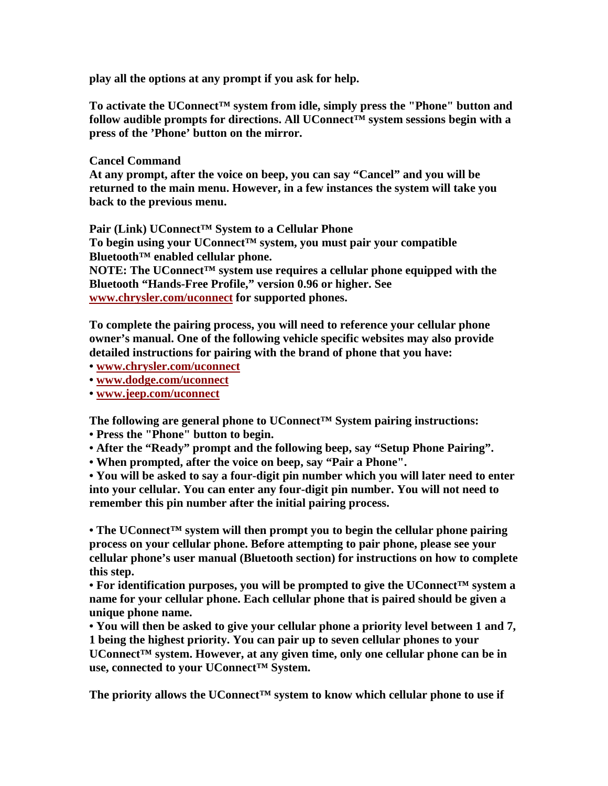**play all the options at any prompt if you ask for help.** 

**To activate the UConnect™ system from idle, simply press the "Phone" button and follow audible prompts for directions. All UConnect™ system sessions begin with a press of the 'Phone' button on the mirror.** 

# **Cancel Command**

**At any prompt, after the voice on beep, you can say "Cancel" and you will be returned to the main menu. However, in a few instances the system will take you back to the previous menu.** 

**Pair (Link) UConnect™ System to a Cellular Phone** 

**To begin using your UConnect™ system, you must pair your compatible Bluetooth™ enabled cellular phone.** 

**NOTE: The UConnect™ system use requires a cellular phone equipped with the Bluetooth "Hands-Free Profile," version 0.96 or higher. See www.chrysler.com/uconnect for supported phones.** 

**To complete the pairing process, you will need to reference your cellular phone owner's manual. One of the following vehicle specific websites may also provide detailed instructions for pairing with the brand of phone that you have:** 

**• www.chrysler.com/uconnect**

**• www.dodge.com/uconnect**

**• www.jeep.com/uconnect**

**The following are general phone to UConnect™ System pairing instructions:** 

**• Press the "Phone" button to begin.** 

**• After the "Ready" prompt and the following beep, say "Setup Phone Pairing".** 

**• When prompted, after the voice on beep, say "Pair a Phone".** 

**• You will be asked to say a four-digit pin number which you will later need to enter into your cellular. You can enter any four-digit pin number. You will not need to remember this pin number after the initial pairing process.** 

**• The UConnect™ system will then prompt you to begin the cellular phone pairing process on your cellular phone. Before attempting to pair phone, please see your cellular phone's user manual (Bluetooth section) for instructions on how to complete this step.** 

**• For identification purposes, you will be prompted to give the UConnect™ system a name for your cellular phone. Each cellular phone that is paired should be given a unique phone name.** 

**• You will then be asked to give your cellular phone a priority level between 1 and 7, 1 being the highest priority. You can pair up to seven cellular phones to your UConnect™ system. However, at any given time, only one cellular phone can be in use, connected to your UConnect™ System.** 

The priority allows the UConnect<sup>™</sup> system to know which cellular phone to use if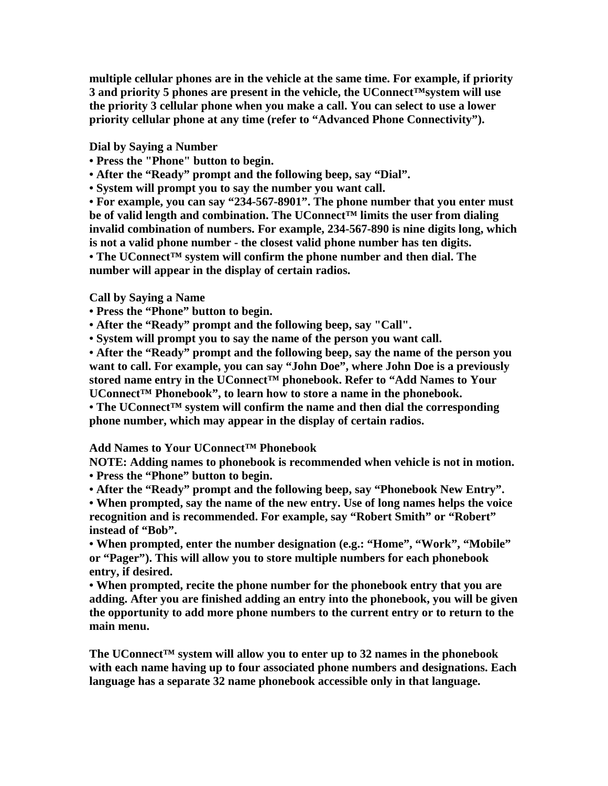**multiple cellular phones are in the vehicle at the same time. For example, if priority 3 and priority 5 phones are present in the vehicle, the UConnect™system will use the priority 3 cellular phone when you make a call. You can select to use a lower priority cellular phone at any time (refer to "Advanced Phone Connectivity").** 

**Dial by Saying a Number** 

- **Press the "Phone" button to begin.**
- **After the "Ready" prompt and the following beep, say "Dial".**
- **System will prompt you to say the number you want call.**

**• For example, you can say "234-567-8901". The phone number that you enter must be of valid length and combination. The UConnect™ limits the user from dialing invalid combination of numbers. For example, 234-567-890 is nine digits long, which is not a valid phone number - the closest valid phone number has ten digits. • The UConnect™ system will confirm the phone number and then dial. The number will appear in the display of certain radios.** 

# **Call by Saying a Name**

- **Press the "Phone" button to begin.**
- **After the "Ready" prompt and the following beep, say "Call".**
- **System will prompt you to say the name of the person you want call.**

**• After the "Ready" prompt and the following beep, say the name of the person you want to call. For example, you can say "John Doe", where John Doe is a previously**  stored name entry in the UConnect<sup>™</sup> phonebook. Refer to "Add Names to Your **UConnect™ Phonebook", to learn how to store a name in the phonebook. • The UConnect™ system will confirm the name and then dial the corresponding** 

**phone number, which may appear in the display of certain radios.** 

# **Add Names to Your UConnect™ Phonebook**

**NOTE: Adding names to phonebook is recommended when vehicle is not in motion. • Press the "Phone" button to begin.** 

**• After the "Ready" prompt and the following beep, say "Phonebook New Entry".** 

**• When prompted, say the name of the new entry. Use of long names helps the voice recognition and is recommended. For example, say "Robert Smith" or "Robert" instead of "Bob".** 

**• When prompted, enter the number designation (e.g.: "Home", "Work", "Mobile" or "Pager"). This will allow you to store multiple numbers for each phonebook entry, if desired.** 

**• When prompted, recite the phone number for the phonebook entry that you are adding. After you are finished adding an entry into the phonebook, you will be given the opportunity to add more phone numbers to the current entry or to return to the main menu.** 

**The UConnect™ system will allow you to enter up to 32 names in the phonebook with each name having up to four associated phone numbers and designations. Each language has a separate 32 name phonebook accessible only in that language.**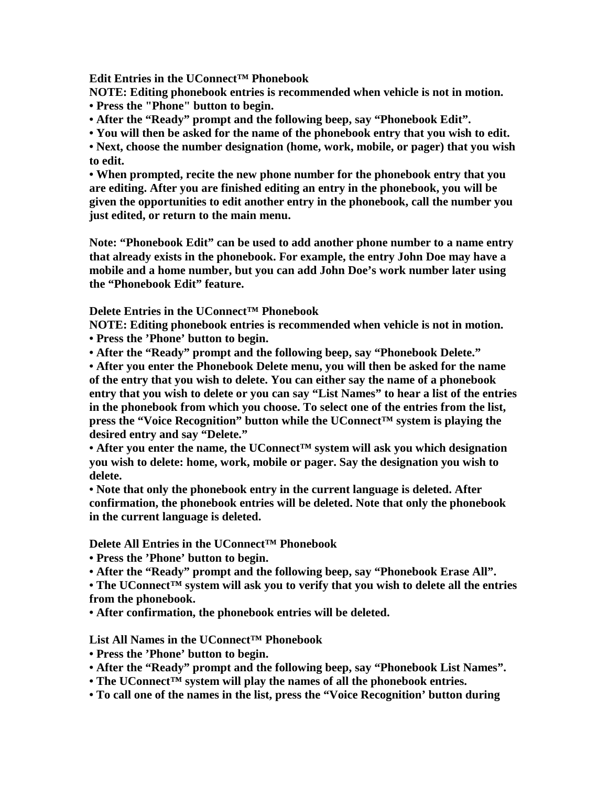**Edit Entries in the UConnect™ Phonebook** 

**NOTE: Editing phonebook entries is recommended when vehicle is not in motion. • Press the "Phone" button to begin.** 

**• After the "Ready" prompt and the following beep, say "Phonebook Edit".** 

**• You will then be asked for the name of the phonebook entry that you wish to edit.** 

**• Next, choose the number designation (home, work, mobile, or pager) that you wish to edit.** 

**• When prompted, recite the new phone number for the phonebook entry that you are editing. After you are finished editing an entry in the phonebook, you will be given the opportunities to edit another entry in the phonebook, call the number you just edited, or return to the main menu.** 

**Note: "Phonebook Edit" can be used to add another phone number to a name entry that already exists in the phonebook. For example, the entry John Doe may have a mobile and a home number, but you can add John Doe's work number later using the "Phonebook Edit" feature.** 

**Delete Entries in the UConnect™ Phonebook** 

**NOTE: Editing phonebook entries is recommended when vehicle is not in motion. • Press the 'Phone' button to begin.** 

**• After the "Ready" prompt and the following beep, say "Phonebook Delete."** 

**• After you enter the Phonebook Delete menu, you will then be asked for the name of the entry that you wish to delete. You can either say the name of a phonebook entry that you wish to delete or you can say "List Names" to hear a list of the entries in the phonebook from which you choose. To select one of the entries from the list,**  press the "Voice Recognition" button while the UConnect<sup>™</sup> system is playing the **desired entry and say "Delete."** 

**• After you enter the name, the UConnect™ system will ask you which designation you wish to delete: home, work, mobile or pager. Say the designation you wish to delete.** 

**• Note that only the phonebook entry in the current language is deleted. After confirmation, the phonebook entries will be deleted. Note that only the phonebook in the current language is deleted.** 

**Delete All Entries in the UConnect™ Phonebook** 

**• Press the 'Phone' button to begin.** 

**• After the "Ready" prompt and the following beep, say "Phonebook Erase All".** 

**• The UConnect™ system will ask you to verify that you wish to delete all the entries from the phonebook.** 

**• After confirmation, the phonebook entries will be deleted.** 

**List All Names in the UConnect™ Phonebook** 

- **Press the 'Phone' button to begin.**
- **After the "Ready" prompt and the following beep, say "Phonebook List Names".**
- **The UConnect™ system will play the names of all the phonebook entries.**
- **To call one of the names in the list, press the "Voice Recognition' button during**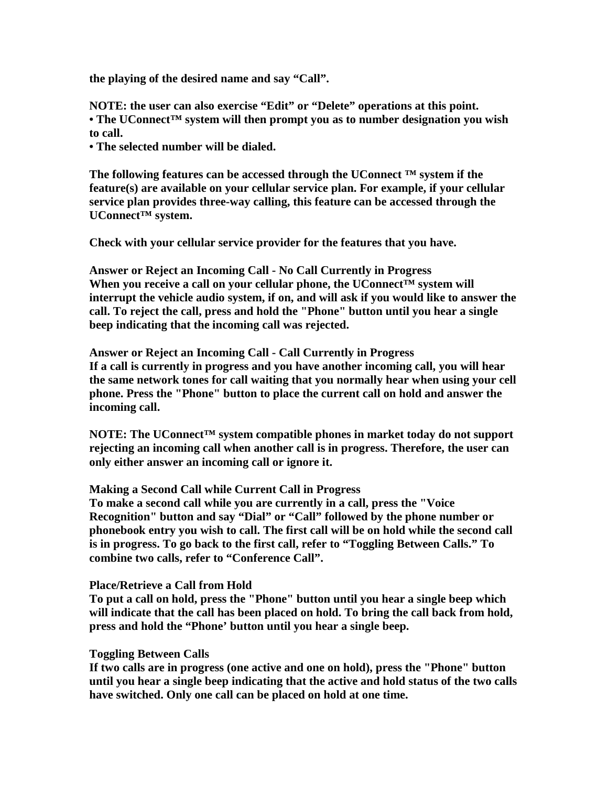**the playing of the desired name and say "Call".** 

**NOTE: the user can also exercise "Edit" or "Delete" operations at this point. • The UConnect™ system will then prompt you as to number designation you wish to call.** 

**• The selected number will be dialed.** 

**The following features can be accessed through the UConnect ™ system if the feature(s) are available on your cellular service plan. For example, if your cellular service plan provides three-way calling, this feature can be accessed through the UConnect™ system.** 

**Check with your cellular service provider for the features that you have.** 

**Answer or Reject an Incoming Call - No Call Currently in Progress**  When you receive a call on your cellular phone, the UConnect<sup>™</sup> system will **interrupt the vehicle audio system, if on, and will ask if you would like to answer the call. To reject the call, press and hold the "Phone" button until you hear a single beep indicating that the incoming call was rejected.** 

**Answer or Reject an Incoming Call - Call Currently in Progress If a call is currently in progress and you have another incoming call, you will hear the same network tones for call waiting that you normally hear when using your cell phone. Press the "Phone" button to place the current call on hold and answer the incoming call.** 

**NOTE: The UConnect™ system compatible phones in market today do not support rejecting an incoming call when another call is in progress. Therefore, the user can only either answer an incoming call or ignore it.** 

**Making a Second Call while Current Call in Progress**

**To make a second call while you are currently in a call, press the "Voice Recognition" button and say "Dial" or "Call" followed by the phone number or phonebook entry you wish to call. The first call will be on hold while the second call is in progress. To go back to the first call, refer to "Toggling Between Calls." To combine two calls, refer to "Conference Call".** 

**Place/Retrieve a Call from Hold** 

**To put a call on hold, press the "Phone" button until you hear a single beep which will indicate that the call has been placed on hold. To bring the call back from hold, press and hold the "Phone' button until you hear a single beep.** 

# **Toggling Between Calls**

**If two calls are in progress (one active and one on hold), press the "Phone" button until you hear a single beep indicating that the active and hold status of the two calls have switched. Only one call can be placed on hold at one time.**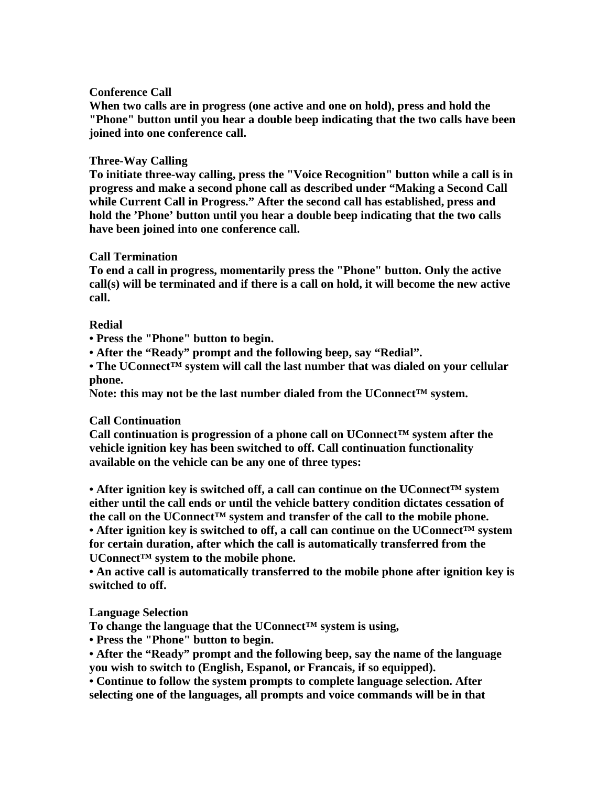# **Conference Call**

**When two calls are in progress (one active and one on hold), press and hold the "Phone" button until you hear a double beep indicating that the two calls have been joined into one conference call.** 

# **Three-Way Calling**

**To initiate three-way calling, press the "Voice Recognition" button while a call is in progress and make a second phone call as described under "Making a Second Call while Current Call in Progress." After the second call has established, press and hold the 'Phone' button until you hear a double beep indicating that the two calls have been joined into one conference call.** 

# **Call Termination**

**To end a call in progress, momentarily press the "Phone" button. Only the active call(s) will be terminated and if there is a call on hold, it will become the new active call.** 

# **Redial**

**• Press the "Phone" button to begin.** 

**• After the "Ready" prompt and the following beep, say "Redial".** 

**• The UConnect™ system will call the last number that was dialed on your cellular phone.** 

**Note: this may not be the last number dialed from the UConnect™ system.** 

# **Call Continuation**

**Call continuation is progression of a phone call on UConnect™ system after the vehicle ignition key has been switched to off. Call continuation functionality available on the vehicle can be any one of three types:** 

**• After ignition key is switched off, a call can continue on the UConnect™ system either until the call ends or until the vehicle battery condition dictates cessation of**  the call on the UConnect<sup>TM</sup> system and transfer of the call to the mobile phone. **• After ignition key is switched to off, a call can continue on the UConnect™ system for certain duration, after which the call is automatically transferred from the UConnect™ system to the mobile phone.** 

**• An active call is automatically transferred to the mobile phone after ignition key is switched to off.** 

# **Language Selection**

**To change the language that the UConnect™ system is using,** 

**• Press the "Phone" button to begin.** 

**• After the "Ready" prompt and the following beep, say the name of the language you wish to switch to (English, Espanol, or Francais, if so equipped).** 

**• Continue to follow the system prompts to complete language selection. After selecting one of the languages, all prompts and voice commands will be in that**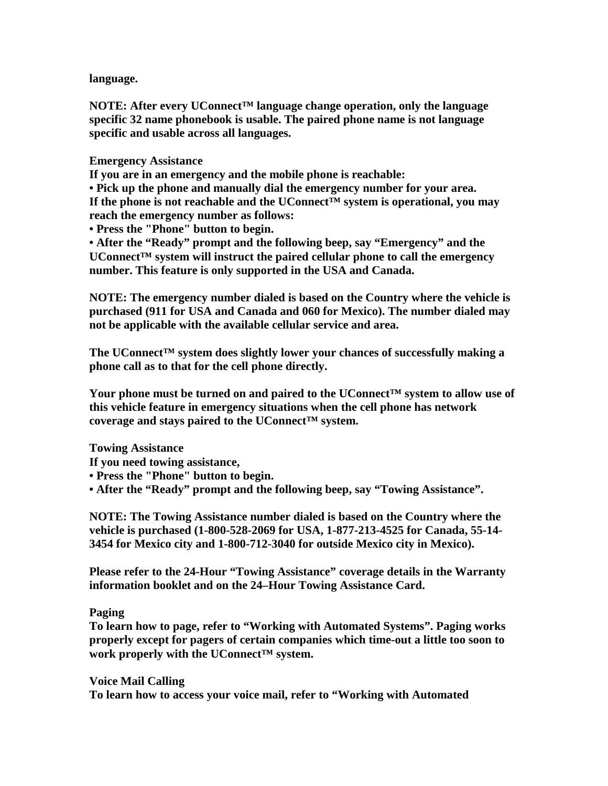**language.** 

**NOTE: After every UConnect™ language change operation, only the language specific 32 name phonebook is usable. The paired phone name is not language specific and usable across all languages.** 

**Emergency Assistance** 

**If you are in an emergency and the mobile phone is reachable:** 

**• Pick up the phone and manually dial the emergency number for your area. If the phone is not reachable and the UConnect™ system is operational, you may reach the emergency number as follows:** 

**• Press the "Phone" button to begin.** 

**• After the "Ready" prompt and the following beep, say "Emergency" and the UConnect™ system will instruct the paired cellular phone to call the emergency number. This feature is only supported in the USA and Canada.** 

**NOTE: The emergency number dialed is based on the Country where the vehicle is purchased (911 for USA and Canada and 060 for Mexico). The number dialed may not be applicable with the available cellular service and area.** 

**The UConnect™ system does slightly lower your chances of successfully making a phone call as to that for the cell phone directly.** 

**Your phone must be turned on and paired to the UConnect™ system to allow use of this vehicle feature in emergency situations when the cell phone has network coverage and stays paired to the UConnect™ system.** 

**Towing Assistance** 

**If you need towing assistance,** 

**• Press the "Phone" button to begin.** 

**• After the "Ready" prompt and the following beep, say "Towing Assistance".** 

**NOTE: The Towing Assistance number dialed is based on the Country where the vehicle is purchased (1-800-528-2069 for USA, 1-877-213-4525 for Canada, 55-14- 3454 for Mexico city and 1-800-712-3040 for outside Mexico city in Mexico).** 

**Please refer to the 24-Hour "Towing Assistance" coverage details in the Warranty information booklet and on the 24–Hour Towing Assistance Card.** 

### **Paging**

**To learn how to page, refer to "Working with Automated Systems". Paging works properly except for pagers of certain companies which time-out a little too soon to work properly with the UConnect™ system.** 

**Voice Mail Calling To learn how to access your voice mail, refer to "Working with Automated**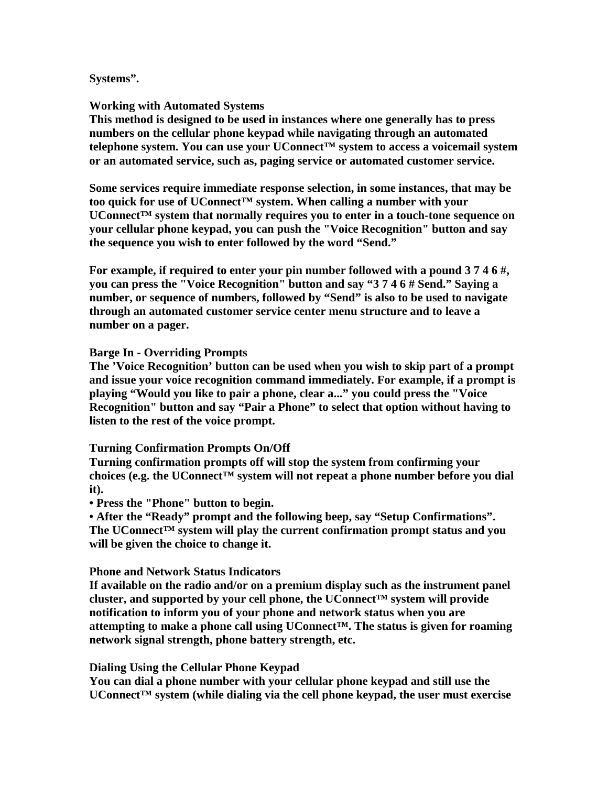### **Systems".**

### **Working with Automated Systems**

**This method is designed to be used in instances where one generally has to press numbers on the cellular phone keypad while navigating through an automated telephone system. You can use your UConnect™ system to access a voicemail system or an automated service, such as, paging service or automated customer service.** 

**Some services require immediate response selection, in some instances, that may be too quick for use of UConnect™ system. When calling a number with your UConnect™ system that normally requires you to enter in a touch-tone sequence on your cellular phone keypad, you can push the "Voice Recognition" button and say the sequence you wish to enter followed by the word "Send."** 

**For example, if required to enter your pin number followed with a pound 3 7 4 6 #, you can press the "Voice Recognition" button and say "3 7 4 6 # Send." Saying a number, or sequence of numbers, followed by "Send" is also to be used to navigate through an automated customer service center menu structure and to leave a number on a pager.** 

### **Barge In - Overriding Prompts**

**The 'Voice Recognition' button can be used when you wish to skip part of a prompt and issue your voice recognition command immediately. For example, if a prompt is playing "Would you like to pair a phone, clear a..." you could press the "Voice Recognition" button and say "Pair a Phone" to select that option without having to listen to the rest of the voice prompt.** 

### **Turning Confirmation Prompts On/Off**

**Turning confirmation prompts off will stop the system from confirming your choices (e.g. the UConnect™ system will not repeat a phone number before you dial it).** 

**• Press the "Phone" button to begin.** 

**• After the "Ready" prompt and the following beep, say "Setup Confirmations". The UConnect™ system will play the current confirmation prompt status and you will be given the choice to change it.** 

### **Phone and Network Status Indicators**

**If available on the radio and/or on a premium display such as the instrument panel cluster, and supported by your cell phone, the UConnect™ system will provide notification to inform you of your phone and network status when you are attempting to make a phone call using UConnect™. The status is given for roaming network signal strength, phone battery strength, etc.** 

### **Dialing Using the Cellular Phone Keypad**

**You can dial a phone number with your cellular phone keypad and still use the UConnect™ system (while dialing via the cell phone keypad, the user must exercise**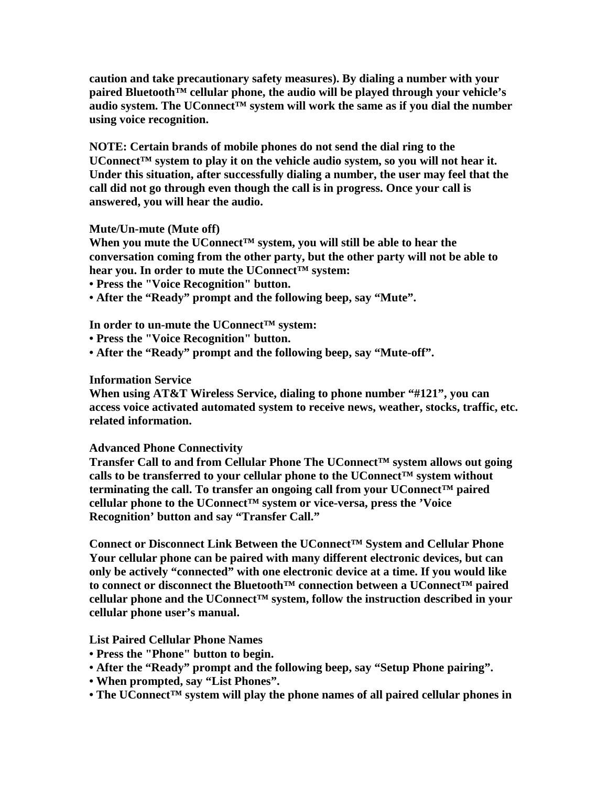**caution and take precautionary safety measures). By dialing a number with your paired Bluetooth™ cellular phone, the audio will be played through your vehicle's audio system. The UConnect™ system will work the same as if you dial the number using voice recognition.** 

**NOTE: Certain brands of mobile phones do not send the dial ring to the UConnect™ system to play it on the vehicle audio system, so you will not hear it. Under this situation, after successfully dialing a number, the user may feel that the call did not go through even though the call is in progress. Once your call is answered, you will hear the audio.** 

# **Mute/Un-mute (Mute off)**

**When you mute the UConnect™ system, you will still be able to hear the conversation coming from the other party, but the other party will not be able to hear you. In order to mute the UConnect™ system:** 

**• Press the "Voice Recognition" button.** 

**• After the "Ready" prompt and the following beep, say "Mute".** 

**In order to un-mute the UConnect™ system:** 

- **Press the "Voice Recognition" button.**
- **After the "Ready" prompt and the following beep, say "Mute-off".**

### **Information Service**

**When using AT&T Wireless Service, dialing to phone number "#121", you can access voice activated automated system to receive news, weather, stocks, traffic, etc. related information.** 

### **Advanced Phone Connectivity**

**Transfer Call to and from Cellular Phone The UConnect™ system allows out going calls to be transferred to your cellular phone to the UConnect™ system without terminating the call. To transfer an ongoing call from your UConnect™ paired cellular phone to the UConnect™ system or vice-versa, press the 'Voice Recognition' button and say "Transfer Call."** 

**Connect or Disconnect Link Between the UConnect™ System and Cellular Phone Your cellular phone can be paired with many different electronic devices, but can only be actively "connected" with one electronic device at a time. If you would like to connect or disconnect the Bluetooth™ connection between a UConnect™ paired cellular phone and the UConnect™ system, follow the instruction described in your cellular phone user's manual.** 

# **List Paired Cellular Phone Names**

- **Press the "Phone" button to begin.**
- **After the "Ready" prompt and the following beep, say "Setup Phone pairing".**
- **When prompted, say "List Phones".**
- **The UConnect™ system will play the phone names of all paired cellular phones in**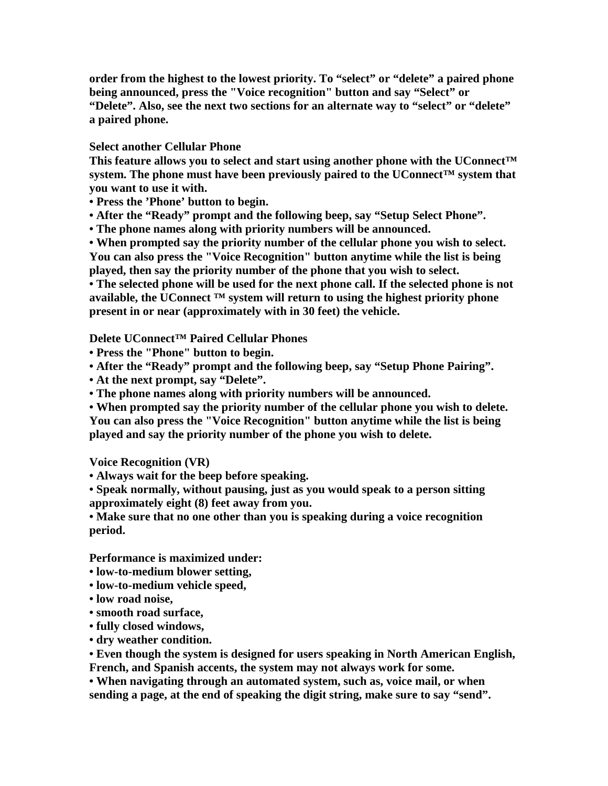**order from the highest to the lowest priority. To "select" or "delete" a paired phone being announced, press the "Voice recognition" button and say "Select" or "Delete". Also, see the next two sections for an alternate way to "select" or "delete" a paired phone.** 

**Select another Cellular Phone** 

**This feature allows you to select and start using another phone with the UConnect™**  system. The phone must have been previously paired to the UConnect<sup>™</sup> system that **you want to use it with.** 

**• Press the 'Phone' button to begin.** 

**• After the "Ready" prompt and the following beep, say "Setup Select Phone".** 

**• The phone names along with priority numbers will be announced.** 

**• When prompted say the priority number of the cellular phone you wish to select. You can also press the "Voice Recognition" button anytime while the list is being played, then say the priority number of the phone that you wish to select.** 

**• The selected phone will be used for the next phone call. If the selected phone is not available, the UConnect ™ system will return to using the highest priority phone present in or near (approximately with in 30 feet) the vehicle.** 

**Delete UConnect™ Paired Cellular Phones** 

- **Press the "Phone" button to begin.**
- **After the "Ready" prompt and the following beep, say "Setup Phone Pairing".**
- **At the next prompt, say "Delete".**

**• The phone names along with priority numbers will be announced.** 

**• When prompted say the priority number of the cellular phone you wish to delete. You can also press the "Voice Recognition" button anytime while the list is being played and say the priority number of the phone you wish to delete.** 

**Voice Recognition (VR)** 

**• Always wait for the beep before speaking.** 

**• Speak normally, without pausing, just as you would speak to a person sitting approximately eight (8) feet away from you.** 

**• Make sure that no one other than you is speaking during a voice recognition period.** 

**Performance is maximized under:** 

- **low-to-medium blower setting,**
- **low-to-medium vehicle speed,**
- **low road noise,**
- **smooth road surface,**
- **fully closed windows,**
- **dry weather condition.**

**• Even though the system is designed for users speaking in North American English, French, and Spanish accents, the system may not always work for some.** 

**• When navigating through an automated system, such as, voice mail, or when sending a page, at the end of speaking the digit string, make sure to say "send".**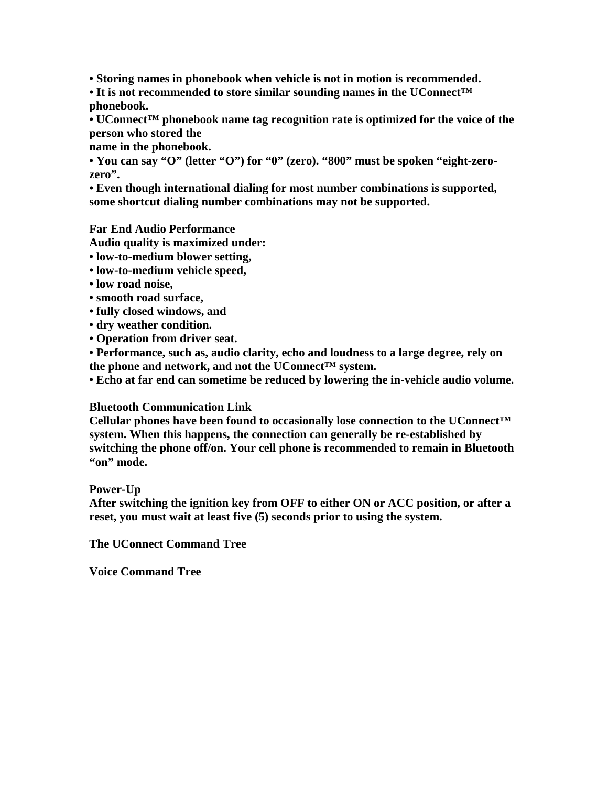**• Storing names in phonebook when vehicle is not in motion is recommended.** 

**• It is not recommended to store similar sounding names in the UConnect™ phonebook.** 

**• UConnect™ phonebook name tag recognition rate is optimized for the voice of the person who stored the** 

**name in the phonebook.** 

• You can say "O" (letter "O") for "0" (zero). "800" must be spoken "eight-zero**zero".** 

**• Even though international dialing for most number combinations is supported, some shortcut dialing number combinations may not be supported.** 

**Far End Audio Performance** 

**Audio quality is maximized under:** 

**• low-to-medium blower setting,** 

- **low-to-medium vehicle speed,**
- **low road noise,**
- **smooth road surface,**
- **fully closed windows, and**
- **dry weather condition.**
- **Operation from driver seat.**

**• Performance, such as, audio clarity, echo and loudness to a large degree, rely on the phone and network, and not the UConnect™ system.** 

**• Echo at far end can sometime be reduced by lowering the in-vehicle audio volume.** 

# **Bluetooth Communication Link**

**Cellular phones have been found to occasionally lose connection to the UConnect™ system. When this happens, the connection can generally be re-established by switching the phone off/on. Your cell phone is recommended to remain in Bluetooth "on" mode.** 

# **Power-Up**

**After switching the ignition key from OFF to either ON or ACC position, or after a reset, you must wait at least five (5) seconds prior to using the system.** 

**The UConnect Command Tree** 

**Voice Command Tree**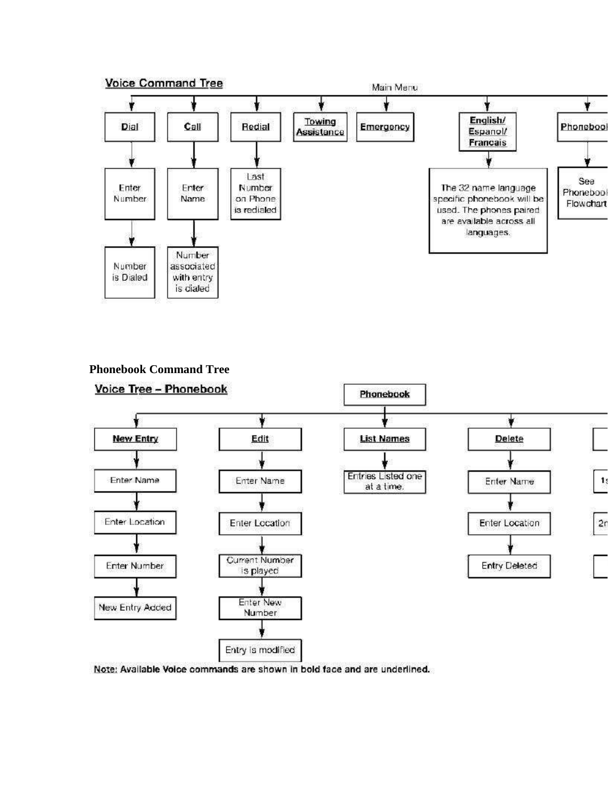

**Phonebook Command Tree** 



Note: Available Voice commands are shown in bold face and are underlined.